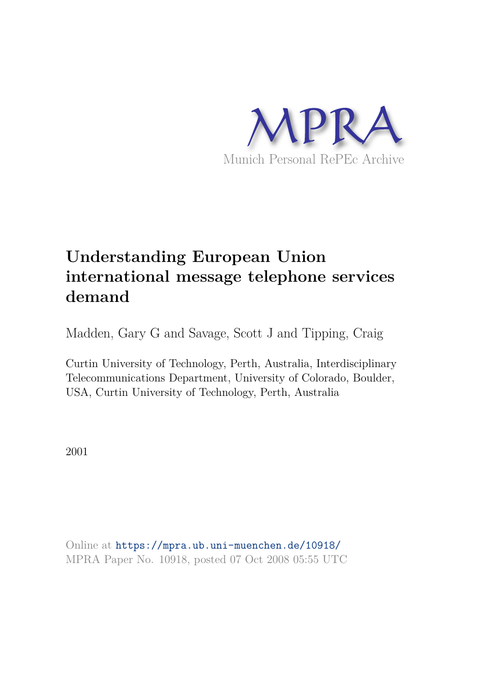

# **Understanding European Union international message telephone services demand**

Madden, Gary G and Savage, Scott J and Tipping, Craig

Curtin University of Technology, Perth, Australia, Interdisciplinary Telecommunications Department, University of Colorado, Boulder, USA, Curtin University of Technology, Perth, Australia

2001

Online at https://mpra.ub.uni-muenchen.de/10918/ MPRA Paper No. 10918, posted 07 Oct 2008 05:55 UTC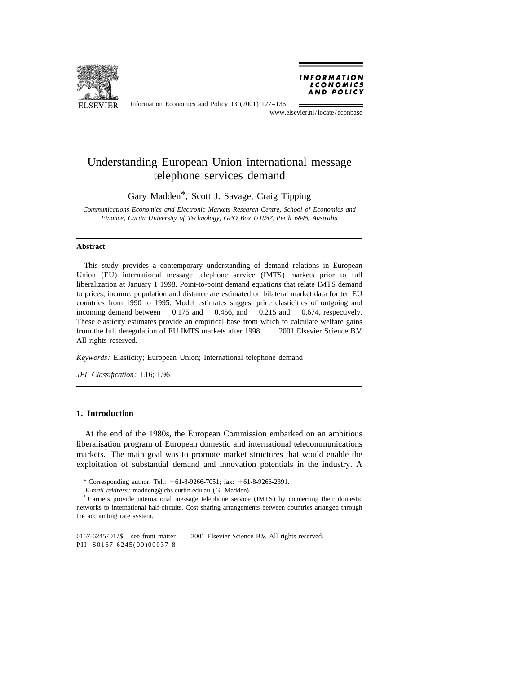

**INFORMATION** ECONOMICS AND POLICY

Information Economics and Policy 13 (2001) 127–136

www.elsevier.nl/locate/econbase

# Understanding European Union international message telephone services demand

Gary Madden<sup>\*</sup>, Scott J. Savage, Craig Tipping

*Communications Economics and Electronic Markets Research Centre*, *School of Economics and Finance*, *Curtin University of Technology*, *GPO Box U*1987, *Perth* 6845, *Australia*

#### **Abstract**

This study provides a contemporary understanding of demand relations in European Union (EU) international message telephone service (IMTS) markets prior to full liberalization at January 1 1998. Point-to-point demand equations that relate IMTS demand to prices, income, population and distance are estimated on bilateral market data for ten EU countries from 1990 to 1995. Model estimates suggest price elasticities of outgoing and incoming demand between  $-0.175$  and  $-0.456$ , and  $-0.215$  and  $-0.674$ , respectively. These elasticity estimates provide an empirical base from which to calculate welfare gains from the full deregulation of EU IMTS markets after 1998.  $\circ$  2001 Elsevier Science B.V. All rights reserved.

*Keywords*: Elasticity; European Union; International telephone demand

*JEL Classification*: L16; L96

#### **1. Introduction**

At the end of the 1980s, the European Commission embarked on an ambitious liberalisation program of European domestic and international telecommunications markets.<sup>1</sup> The main goal was to promote market structures that would enable the exploitation of substantial demand and innovation potentials in the industry. A

\* Corresponding author. Tel.:  $+61-8-9266-7051$ ; fax:  $+61-8-9266-2391$ .

*E*-*mail address*: maddeng@cbs.curtin.edu.au (G. Madden).

<sup>1</sup> Carriers provide international message telephone service (IMTS) by connecting their domestic networks to international half-circuits. Cost sharing arrangements between countries arranged through the accounting rate system.

 $0167-6245/01/\$$  – see front matter  $\)$  2001 Elsevier Science B.V. All rights reserved. PII: S0167-6245(00)00037-8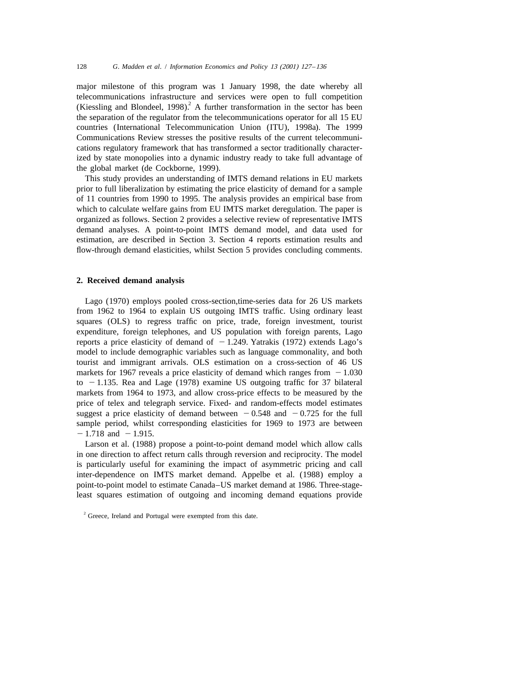major milestone of this program was 1 January 1998, the date whereby all telecommunications infrastructure and services were open to full competition (Kiessling and Blondeel, 1998).<sup>2</sup> A further transformation in the sector has been the separation of the regulator from the telecommunications operator for all 15 EU countries (International Telecommunication Union (ITU), 1998a). The 1999 Communications Review stresses the positive results of the current telecommunications regulatory framework that has transformed a sector traditionally characterized by state monopolies into a dynamic industry ready to take full advantage of the global market (de Cockborne, 1999).

This study provides an understanding of IMTS demand relations in EU markets prior to full liberalization by estimating the price elasticity of demand for a sample of 11 countries from 1990 to 1995. The analysis provides an empirical base from which to calculate welfare gains from EU IMTS market deregulation. The paper is organized as follows. Section 2 provides a selective review of representative IMTS demand analyses. A point-to-point IMTS demand model, and data used for estimation, are described in Section 3. Section 4 reports estimation results and flow-through demand elasticities, whilst Section 5 provides concluding comments.

### **2. Received demand analysis**

Lago (1970) employs pooled cross-section,time-series data for 26 US markets from 1962 to 1964 to explain US outgoing IMTS traffic. Using ordinary least squares (OLS) to regress traffic on price, trade, foreign investment, tourist expenditure, foreign telephones, and US population with foreign parents, Lago reports a price elasticity of demand of  $-1.249$ . Yatrakis (1972) extends Lago's model to include demographic variables such as language commonality, and both tourist and immigrant arrivals. OLS estimation on a cross-section of 46 US markets for 1967 reveals a price elasticity of demand which ranges from  $-1.030$ to  $-1.135$ . Rea and Lage (1978) examine US outgoing traffic for 37 bilateral markets from 1964 to 1973, and allow cross-price effects to be measured by the price of telex and telegraph service. Fixed- and random-effects model estimates suggest a price elasticity of demand between  $-0.548$  and  $-0.725$  for the full sample period, whilst corresponding elasticities for 1969 to 1973 are between  $-1.718$  and  $-1.915$ .

Larson et al. (1988) propose a point-to-point demand model which allow calls in one direction to affect return calls through reversion and reciprocity. The model is particularly useful for examining the impact of asymmetric pricing and call inter-dependence on IMTS market demand. Appelbe et al. (1988) employ a point-to-point model to estimate Canada–US market demand at 1986. Three-stageleast squares estimation of outgoing and incoming demand equations provide

<sup>&</sup>lt;sup>2</sup> Greece, Ireland and Portugal were exempted from this date.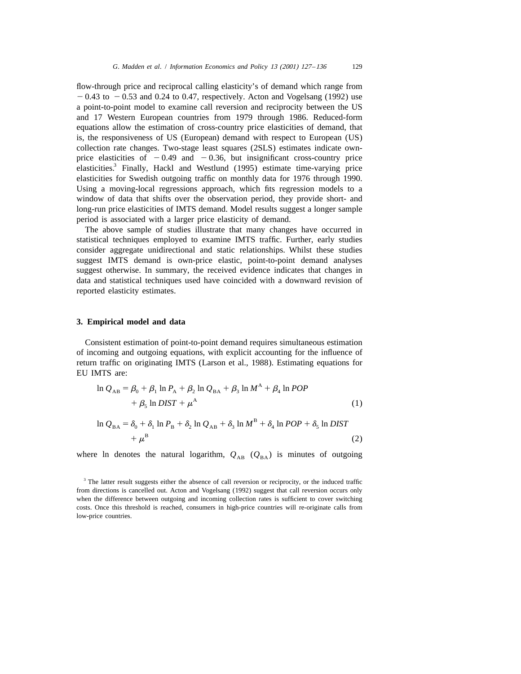flow-through price and reciprocal calling elasticity's of demand which range from  $-0.43$  to  $-0.53$  and 0.24 to 0.47, respectively. Acton and Vogelsang (1992) use a point-to-point model to examine call reversion and reciprocity between the US and 17 Western European countries from 1979 through 1986. Reduced-form equations allow the estimation of cross-country price elasticities of demand, that is, the responsiveness of US (European) demand with respect to European (US) collection rate changes. Two-stage least squares (2SLS) estimates indicate ownprice elasticities of  $-0.49$  and  $-0.36$ , but insignificant cross-country price elasticities.<sup>3</sup> Finally, Hackl and Westlund (1995) estimate time-varying price elasticities for Swedish outgoing traffic on monthly data for 1976 through 1990. Using a moving-local regressions approach, which fits regression models to a window of data that shifts over the observation period, they provide short- and long-run price elasticities of IMTS demand. Model results suggest a longer sample period is associated with a larger price elasticity of demand.

The above sample of studies illustrate that many changes have occurred in statistical techniques employed to examine IMTS traffic. Further, early studies consider aggregate unidirectional and static relationships. Whilst these studies suggest IMTS demand is own-price elastic, point-to-point demand analyses suggest otherwise. In summary, the received evidence indicates that changes in data and statistical techniques used have coincided with a downward revision of reported elasticity estimates.

#### **3. Empirical model and data**

Consistent estimation of point-to-point demand requires simultaneous estimation of incoming and outgoing equations, with explicit accounting for the influence of return traffic on originating IMTS (Larson et al., 1988). Estimating equations for EU IMTS are:

$$
\ln Q_{AB} = \beta_0 + \beta_1 \ln P_A + \beta_2 \ln Q_{BA} + \beta_3 \ln M^A + \beta_4 \ln POP
$$
  
+  $\beta_5 \ln DIST + \mu^A$  (1)

$$
\ln Q_{BA} = \delta_0 + \delta_1 \ln P_B + \delta_2 \ln Q_{AB} + \delta_3 \ln M^B + \delta_4 \ln POP + \delta_5 \ln DIST + \mu^B
$$
\n(2)

where ln denotes the natural logarithm,  $Q_{AB}$  ( $Q_{BA}$ ) is minutes of outgoing

<sup>3</sup> The latter result suggests either the absence of call reversion or reciprocity, or the induced traffic from directions is cancelled out. Acton and Vogelsang (1992) suggest that call reversion occurs only when the difference between outgoing and incoming collection rates is sufficient to cover switching costs. Once this threshold is reached, consumers in high-price countries will re-originate calls from low-price countries.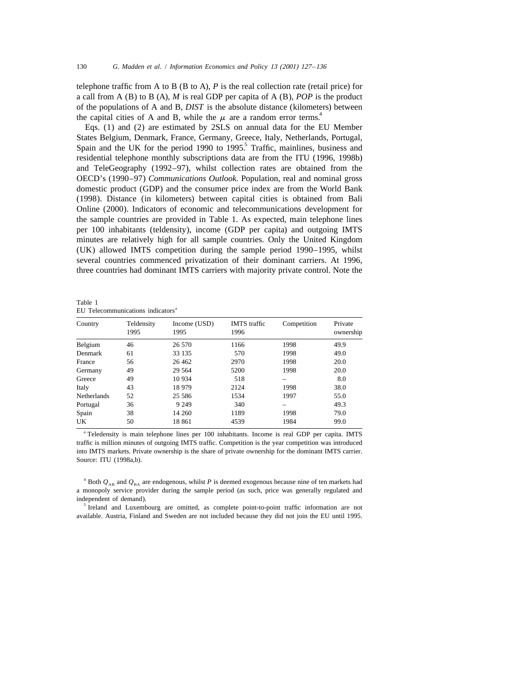telephone traffic from A to B  $(B \text{ to } A)$ , P is the real collection rate (retail price) for a call from A (B) to B (A), *M* is real GDP per capita of A (B), *POP* is the product of the populations of A and B, *DIST* is the absolute distance (kilometers) between the capital cities of A and B, while the  $\mu$  are a random error terms.<sup>4</sup>

Eqs. (1) and (2) are estimated by 2SLS on annual data for the EU Member States Belgium, Denmark, France, Germany, Greece, Italy, Netherlands, Portugal, Spain and the UK for the period 1990 to 1995.<sup>5</sup> Traffic, mainlines, business and residential telephone monthly subscriptions data are from the ITU (1996, 1998b) and TeleGeography (1992–97), whilst collection rates are obtained from the OECD's (1990–97) *Communications Outlook*. Population, real and nominal gross domestic product (GDP) and the consumer price index are from the World Bank (1998). Distance (in kilometers) between capital cities is obtained from Bali Online (2000). Indicators of economic and telecommunications development for the sample countries are provided in Table 1. As expected, main telephone lines per 100 inhabitants (teldensity), income (GDP per capita) and outgoing IMTS minutes are relatively high for all sample countries. Only the United Kingdom (UK) allowed IMTS competition during the sample period 1990–1995, whilst several countries commenced privatization of their dominant carriers. At 1996, three countries had dominant IMTS carriers with majority private control. Note the

| Country            | Teldensity | Income (USD) | <b>IMTS</b> traffic | Competition | Private   |
|--------------------|------------|--------------|---------------------|-------------|-----------|
|                    | 1995       | 1995         | 1996                |             | ownership |
| Belgium            | 46         | 26 570       | 1166                | 1998        | 49.9      |
| Denmark            | 61         | 33 135       | 570                 | 1998        | 49.0      |
| France             | 56         | 26 4 62      | 2970                | 1998        | 20.0      |
| Germany            | 49         | 29 5 64      | 5200                | 1998        | 20.0      |
| Greece             | 49         | 10 9 34      | 518                 |             | 8.0       |
| Italy              | 43         | 18 979       | 2124                | 1998        | 38.0      |
| <b>Netherlands</b> | 52         | 25 5 8 6     | 1534                | 1997        | 55.0      |
| Portugal           | 36         | 9 2 4 9      | 340                 | –           | 49.3      |
| Spain              | 38         | 14 260       | 1189                | 1998        | 79.0      |
| UK                 | 50         | 18 861       | 4539                | 1984        | 99.0      |

Table 1 EU Telecommunications indicators<sup>a</sup>

<sup>a</sup> Teledensity is main telephone lines per 100 inhabitants. Income is real GDP per capita. IMTS traffic is million minutes of outgoing IMTS traffic. Competition is the year competition was introduced into IMTS markets. Private ownership is the share of private ownership for the dominant IMTS carrier. Source: ITU (1998a,b).

<sup>4</sup> Both  $Q_{AB}$  and  $Q_{BA}$  are endogenous, whilst *P* is deemed exogenous because nine of ten markets had a monopoly service provider during the sample period (as such, price was generally regulated and independent of demand).

<sup>5</sup> Ireland and Luxembourg are omitted, as complete point-to-point traffic information are not available. Austria, Finland and Sweden are not included because they did not join the EU until 1995.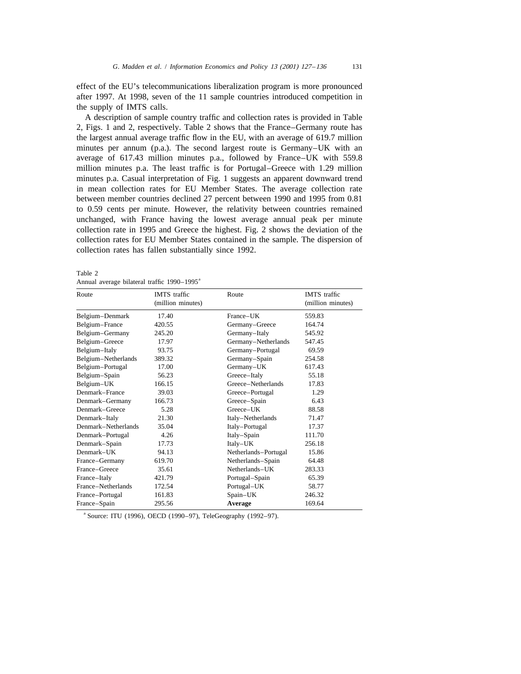effect of the EU's telecommunications liberalization program is more pronounced after 1997. At 1998, seven of the 11 sample countries introduced competition in the supply of IMTS calls.

A description of sample country traffic and collection rates is provided in Table 2, Figs. 1 and 2, respectively. Table 2 shows that the France–Germany route has the largest annual average traffic flow in the EU, with an average of 619.7 million minutes per annum (p.a.). The second largest route is Germany–UK with an average of 617.43 million minutes p.a., followed by France–UK with 559.8 million minutes p.a. The least traffic is for Portugal–Greece with 1.29 million minutes p.a. Casual interpretation of Fig. 1 suggests an apparent downward trend in mean collection rates for EU Member States. The average collection rate between member countries declined 27 percent between 1990 and 1995 from 0.81 to 0.59 cents per minute. However, the relativity between countries remained unchanged, with France having the lowest average annual peak per minute collection rate in 1995 and Greece the highest. Fig. 2 shows the deviation of the collection rates for EU Member States contained in the sample. The dispersion of collection rates has fallen substantially since 1992.

|--|--|--|--|

| Route               | <b>IMTS</b> traffic<br>Route<br>(million minutes) |                      | IMTS traffic<br>(million minutes) |  |
|---------------------|---------------------------------------------------|----------------------|-----------------------------------|--|
| Belgium-Denmark     | 17.40                                             | France-UK            | 559.83                            |  |
| Belgium-France      | 420.55                                            | Germany-Greece       | 164.74                            |  |
| Belgium-Germany     | 245.20                                            | Germany-Italy        | 545.92                            |  |
| Belgium-Greece      | 17.97                                             | Germany-Netherlands  | 547.45                            |  |
| Belgium-Italy       | 93.75                                             | Germany-Portugal     | 69.59                             |  |
| Belgium-Netherlands | 389.32                                            | Germany-Spain        | 254.58                            |  |
| Belgium-Portugal    | 17.00                                             | Germany-UK           | 617.43                            |  |
| Belgium-Spain       | 56.23                                             | Greece-Italy         | 55.18                             |  |
| Belgium-UK          | 166.15                                            | Greece-Netherlands   | 17.83                             |  |
| Denmark-France      | 39.03                                             | Greece-Portugal      | 1.29                              |  |
| Denmark-Germany     | 166.73                                            | Greece-Spain         | 6.43                              |  |
| Denmark-Greece      | 5.28                                              | Greece-UK            | 88.58                             |  |
| Denmark-Italy       | 21.30                                             | Italy-Netherlands    | 71.47                             |  |
| Denmark-Netherlands | 35.04                                             | Italy-Portugal       | 17.37                             |  |
| Denmark-Portugal    | 4.26                                              | Italy-Spain          | 111.70                            |  |
| Denmark-Spain       | 17.73                                             | Italy-UK             | 256.18                            |  |
| $Demmark$ -UK       | 94.13                                             | Netherlands-Portugal | 15.86                             |  |
| France-Germany      | 619.70                                            | Netherlands-Spain    | 64.48                             |  |
| France-Greece       | 35.61                                             | Netherlands-UK       | 283.33                            |  |
| France-Italy        | 421.79                                            | Portugal-Spain       | 65.39                             |  |
| France-Netherlands  | 172.54                                            | Portugal-UK          | 58.77                             |  |
| France-Portugal     | 161.83                                            | Spain-UK             | 246.32                            |  |
| France-Spain        | 295.56                                            | Average              | 169.64                            |  |

Annual average bilateral traffic 1990–1995<sup>a</sup>

a Source: ITU (1996), OECD (1990–97), TeleGeography (1992–97).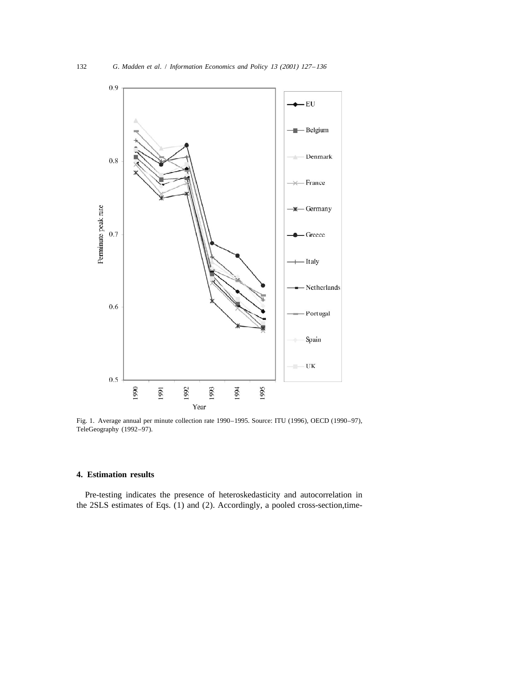

Fig. 1. Average annual per minute collection rate 1990–1995. Source: ITU (1996), OECD (1990–97), TeleGeography (1992–97).

# **4. Estimation results**

Pre-testing indicates the presence of heteroskedasticity and autocorrelation in the 2SLS estimates of Eqs. (1) and (2). Accordingly, a pooled cross-section,time-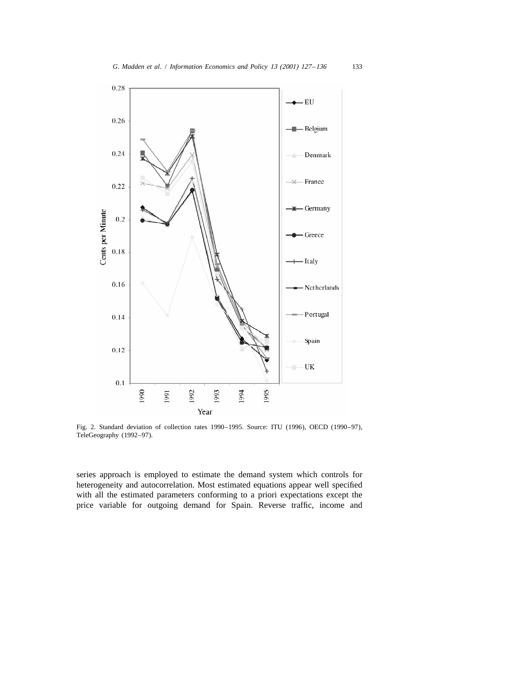

Fig. 2. Standard deviation of collection rates 1990–1995. Source: ITU (1996), OECD (1990–97), TeleGeography (1992–97).

series approach is employed to estimate the demand system which controls for heterogeneity and autocorrelation. Most estimated equations appear well specified with all the estimated parameters conforming to a priori expectations except the price variable for outgoing demand for Spain. Reverse traffic, income and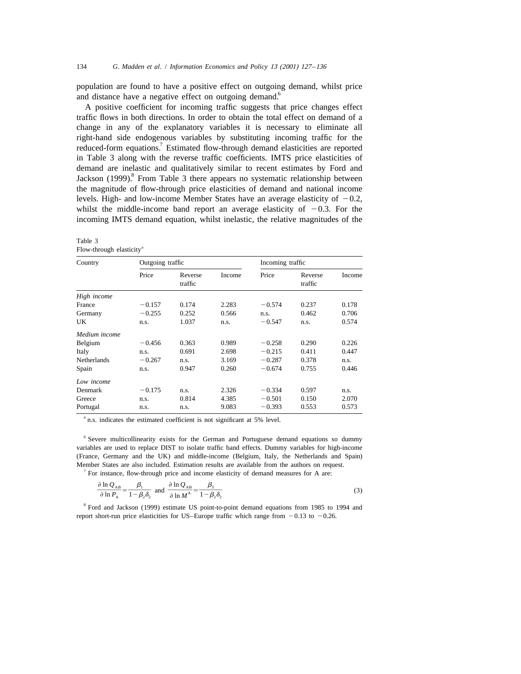population are found to have a positive effect on outgoing demand, whilst price and distance have a negative effect on outgoing demand.<sup>6</sup>

A positive coefficient for incoming traffic suggests that price changes effect traffic flows in both directions. In order to obtain the total effect on demand of a change in any of the explanatory variables it is necessary to eliminate all right-hand side endogenous variables by substituting incoming traffic for the reduced-form equations.<sup>7</sup> Estimated flow-through demand elasticities are reported in Table 3 along with the reverse traffic coefficients. IMTS price elasticities of demand are inelastic and qualitatively similar to recent estimates by Ford and Jackson (1999).<sup>8</sup> From Table 3 there appears no systematic relationship between the magnitude of flow-through price elasticities of demand and national income levels. High- and low-income Member States have an average elasticity of  $-0.2$ , whilst the middle-income band report an average elasticity of  $-0.3$ . For the incoming IMTS demand equation, whilst inelastic, the relative magnitudes of the

| Country       | Outgoing traffic |                    |        | Incoming traffic |                    |        |
|---------------|------------------|--------------------|--------|------------------|--------------------|--------|
|               | Price            | Reverse<br>traffic | Income | Price            | Reverse<br>traffic | Income |
| High income   |                  |                    |        |                  |                    |        |
| France        | $-0.157$         | 0.174              | 2.283  | $-0.574$         | 0.237              | 0.178  |
| Germany       | $-0.255$         | 0.252              | 0.566  | n.s.             | 0.462              | 0.706  |
| UK            | n.s.             | 1.037              | n.s.   | $-0.547$         | n.s.               | 0.574  |
| Medium income |                  |                    |        |                  |                    |        |
| Belgium       | $-0.456$         | 0.363              | 0.989  | $-0.258$         | 0.290              | 0.226  |
| Italy         | n.s.             | 0.691              | 2.698  | $-0.215$         | 0.411              | 0.447  |
| Netherlands   | $-0.267$         | n.s.               | 3.169  | $-0.287$         | 0.378              | n.s.   |
| Spain         | n.s.             | 0.947              | 0.260  | $-0.674$         | 0.755              | 0.446  |
| Low income    |                  |                    |        |                  |                    |        |
| Denmark       | $-0.175$         | n.s.               | 2.326  | $-0.334$         | 0.597              | n.s.   |
| Greece        | n.s.             | 0.814              | 4.385  | $-0.501$         | 0.150              | 2.070  |
| Portugal      | n.s.             | n.s.               | 9.083  | $-0.393$         | 0.553              | 0.573  |

Table 3 Flow-through elasticity<sup>a</sup>

<sup>a</sup> n.s. indicates the estimated coefficient is not significant at 5% level.

<sup>6</sup> Severe multicollinearity exists for the German and Portuguese demand equations so dummy variables are used to replace DIST to isolate traffic band effects. Dummy variables for high-income (France, Germany and the UK) and middle-income (Belgium, Italy, the Netherlands and Spain) Member States are also included. Estimation results are available from the authors on request.

<sup>7</sup> For instance, flow-through price and income elasticity of demand measures for A are:  
\n
$$
\frac{\partial \ln Q_{AB}}{\partial \ln P_{A}} = \frac{\beta_{1}}{1 - \beta_{2} \delta_{2}} \text{ and } \frac{\partial \ln Q_{AB}}{\partial \ln M^{A}} = \frac{\beta_{3}}{1 - \beta_{2} \delta_{2}}
$$
\n(3)

<sup>8</sup> Ford and Jackson (1999) estimate US point-to-point demand equations from 1985 to 1994 and report short-run price elasticities for US–Europe traffic which range from  $-0.13$  to  $-0.26$ .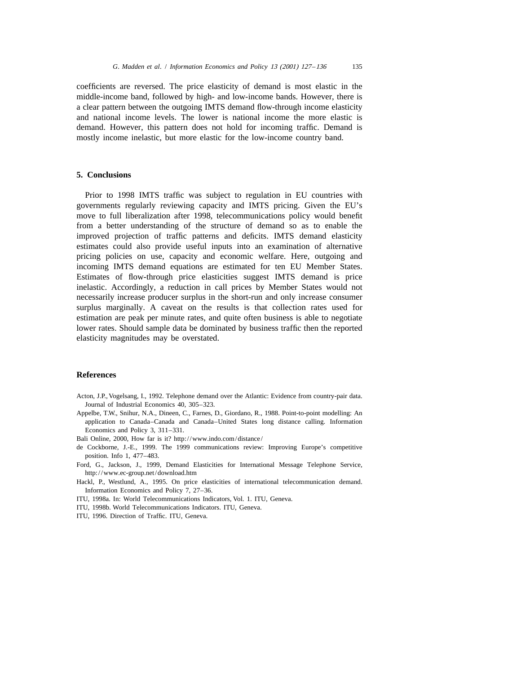coefficients are reversed. The price elasticity of demand is most elastic in the middle-income band, followed by high- and low-income bands. However, there is a clear pattern between the outgoing IMTS demand flow-through income elasticity and national income levels. The lower is national income the more elastic is demand. However, this pattern does not hold for incoming traffic. Demand is mostly income inelastic, but more elastic for the low-income country band.

### **5. Conclusions**

Prior to 1998 IMTS traffic was subject to regulation in EU countries with governments regularly reviewing capacity and IMTS pricing. Given the EU's move to full liberalization after 1998, telecommunications policy would benefit from a better understanding of the structure of demand so as to enable the improved projection of traffic patterns and deficits. IMTS demand elasticity estimates could also provide useful inputs into an examination of alternative pricing policies on use, capacity and economic welfare. Here, outgoing and incoming IMTS demand equations are estimated for ten EU Member States. Estimates of flow-through price elasticities suggest IMTS demand is price inelastic. Accordingly, a reduction in call prices by Member States would not necessarily increase producer surplus in the short-run and only increase consumer surplus marginally. A caveat on the results is that collection rates used for estimation are peak per minute rates, and quite often business is able to negotiate lower rates. Should sample data be dominated by business traffic then the reported elasticity magnitudes may be overstated.

## **References**

- Acton, J.P., Vogelsang, I., 1992. Telephone demand over the Atlantic: Evidence from country-pair data. Journal of Industrial Economics 40, 305–323.
- Appelbe, T.W., Snihur, N.A., Dineen, C., Farnes, D., Giordano, R., 1988. Point-to-point modelling: An application to Canada–Canada and Canada–United States long distance calling. Information Economics and Policy 3, 311–331.
- Bali Online, 2000, How far is it? http://www.indo.com/distance/
- de Cockborne, J.-E., 1999. The 1999 communications review: Improving Europe's competitive position. Info 1, 477–483.
- Ford, G., Jackson, J., 1999, Demand Elasticities for International Message Telephone Service, http://www.ec-group.net/download.htm
- Hackl, P., Westlund, A., 1995. On price elasticities of international telecommunication demand. Information Economics and Policy 7, 27–36.
- ITU, 1998a. In: World Telecommunications Indicators, Vol. 1. ITU, Geneva.
- ITU, 1998b. World Telecommunications Indicators. ITU, Geneva.
- ITU, 1996. Direction of Traffic. ITU, Geneva.